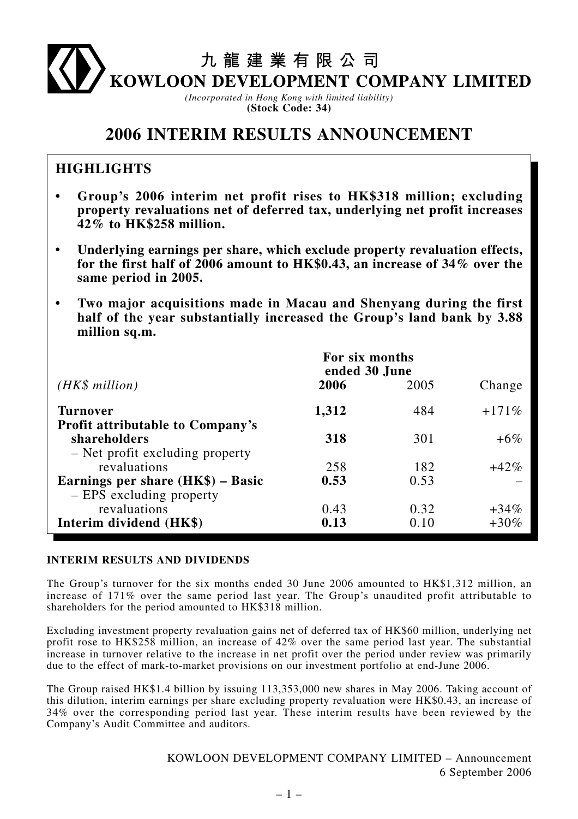九龍建業有限公司

KOWLOON DEVELOPMENT COMPANY LIMITED

*(Incorporated in Hong Kong with limited liability)* **(Stock Code: 34)**

# **2006 INTERIM RESULTS ANNOUNCEMENT**

# **HIGHLIGHTS**

- **Group's 2006 interim net profit rises to HK\$318 million; excluding property revaluations net of deferred tax, underlying net profit increases 42% to HK\$258 million.**
- **Underlying earnings per share, which exclude property revaluation effects, for the first half of 2006 amount to HK\$0.43, an increase of 34% over the same period in 2005.**
- **Two major acquisitions made in Macau and Shenyang during the first half of the year substantially increased the Group's land bank by 3.88 million sq.m.**

|                                                                                            | For six months<br>ended 30 June |              |                    |
|--------------------------------------------------------------------------------------------|---------------------------------|--------------|--------------------|
| $(HK\$ million)                                                                            | 2006                            | 2005         | Change             |
| <b>Turnover</b>                                                                            | 1,312                           | 484          | $+171%$            |
| <b>Profit attributable to Company's</b><br>shareholders<br>- Net profit excluding property | 318                             | 301          | $+6\%$             |
| revaluations<br>Earnings per share $(HK\$ ) – Basic                                        | 258<br>0.53                     | 182<br>0.53  | $+42%$             |
| - EPS excluding property                                                                   |                                 |              |                    |
| revaluations<br>Interim dividend (HK\$)                                                    | 0.43<br>0.13                    | 0.32<br>0.10 | $+34\%$<br>$+30\%$ |

# **INTERIM RESULTS AND DIVIDENDS**

The Group's turnover for the six months ended 30 June 2006 amounted to HK\$1,312 million, an increase of 171% over the same period last year. The Group's unaudited profit attributable to shareholders for the period amounted to HK\$318 million.

Excluding investment property revaluation gains net of deferred tax of HK\$60 million, underlying net profit rose to HK\$258 million, an increase of 42% over the same period last year. The substantial increase in turnover relative to the increase in net profit over the period under review was primarily due to the effect of mark-to-market provisions on our investment portfolio at end-June 2006.

The Group raised HK\$1.4 billion by issuing 113,353,000 new shares in May 2006. Taking account of this dilution, interim earnings per share excluding property revaluation were HK\$0.43, an increase of 34% over the corresponding period last year. These interim results have been reviewed by the Company's Audit Committee and auditors.

> KOWLOON DEVELOPMENT COMPANY LIMITED – Announcement 6 September 2006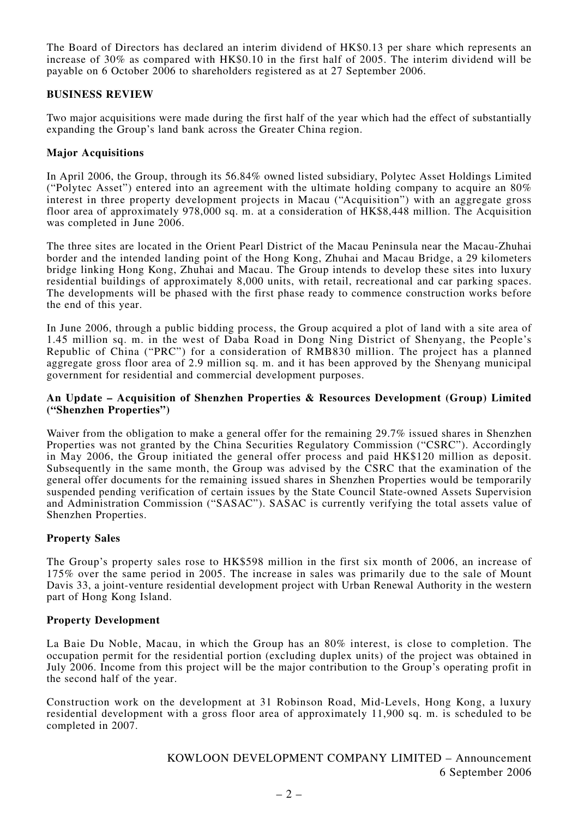The Board of Directors has declared an interim dividend of HK\$0.13 per share which represents an increase of 30% as compared with HK\$0.10 in the first half of 2005. The interim dividend will be payable on 6 October 2006 to shareholders registered as at 27 September 2006.

# **BUSINESS REVIEW**

Two major acquisitions were made during the first half of the year which had the effect of substantially expanding the Group's land bank across the Greater China region.

## **Major Acquisitions**

In April 2006, the Group, through its 56.84% owned listed subsidiary, Polytec Asset Holdings Limited ("Polytec Asset") entered into an agreement with the ultimate holding company to acquire an  $80\%$ interest in three property development projects in Macau ("Acquisition") with an aggregate gross floor area of approximately 978,000 sq. m. at a consideration of HK\$8,448 million. The Acquisition was completed in June 2006.

The three sites are located in the Orient Pearl District of the Macau Peninsula near the Macau-Zhuhai border and the intended landing point of the Hong Kong, Zhuhai and Macau Bridge, a 29 kilometers bridge linking Hong Kong, Zhuhai and Macau. The Group intends to develop these sites into luxury residential buildings of approximately 8,000 units, with retail, recreational and car parking spaces. The developments will be phased with the first phase ready to commence construction works before the end of this year.

In June 2006, through a public bidding process, the Group acquired a plot of land with a site area of 1.45 million sq. m. in the west of Daba Road in Dong Ning District of Shenyang, the People's Republic of China ("PRC") for a consideration of RMB830 million. The project has a planned aggregate gross floor area of 2.9 million sq. m. and it has been approved by the Shenyang municipal government for residential and commercial development purposes.

## **An Update – Acquisition of Shenzhen Properties & Resources Development (Group) Limited ("Shenzhen Properties")**

Waiver from the obligation to make a general offer for the remaining 29.7% issued shares in Shenzhen Properties was not granted by the China Securities Regulatory Commission ("CSRC"). Accordingly in May 2006, the Group initiated the general offer process and paid HK\$120 million as deposit. Subsequently in the same month, the Group was advised by the CSRC that the examination of the general offer documents for the remaining issued shares in Shenzhen Properties would be temporarily suspended pending verification of certain issues by the State Council State-owned Assets Supervision and Administration Commission ("SASAC"). SASAC is currently verifying the total assets value of Shenzhen Properties.

# **Property Sales**

The Group's property sales rose to HK\$598 million in the first six month of 2006, an increase of 175% over the same period in 2005. The increase in sales was primarily due to the sale of Mount Davis 33, a joint-venture residential development project with Urban Renewal Authority in the western part of Hong Kong Island.

## **Property Development**

La Baie Du Noble, Macau, in which the Group has an 80% interest, is close to completion. The occupation permit for the residential portion (excluding duplex units) of the project was obtained in July 2006. Income from this project will be the major contribution to the Group's operating profit in the second half of the year.

Construction work on the development at 31 Robinson Road, Mid-Levels, Hong Kong, a luxury residential development with a gross floor area of approximately 11,900 sq. m. is scheduled to be completed in 2007.

> KOWLOON DEVELOPMENT COMPANY LIMITED – Announcement 6 September 2006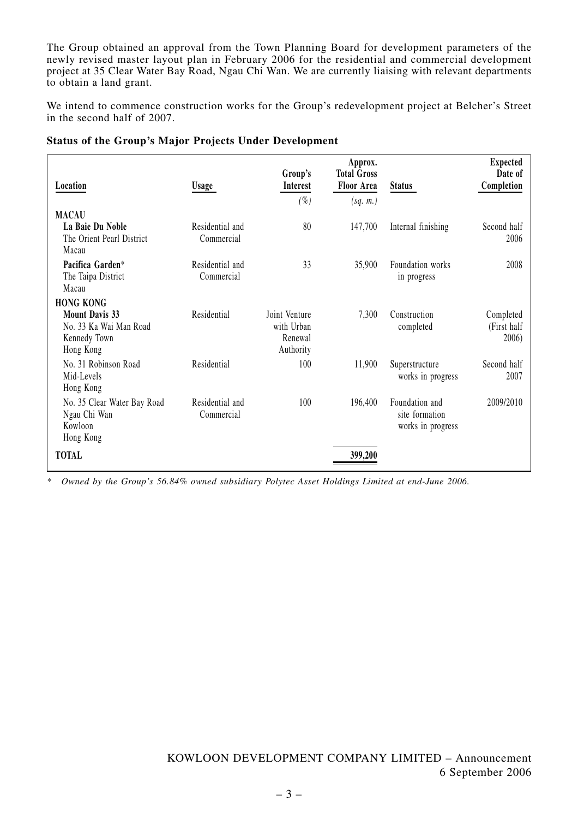The Group obtained an approval from the Town Planning Board for development parameters of the newly revised master layout plan in February 2006 for the residential and commercial development project at 35 Clear Water Bay Road, Ngau Chi Wan. We are currently liaising with relevant departments to obtain a land grant.

We intend to commence construction works for the Group's redevelopment project at Belcher's Street in the second half of 2007.

|  |  | <b>Status of the Group's Major Projects Under Development</b> |
|--|--|---------------------------------------------------------------|

| Location                                                                     | <b>Usage</b>                  | Group's<br><b>Interest</b>                          | Approx.<br><b>Total Gross</b><br><b>Floor Area</b> | <b>Status</b>                                         | <b>Expected</b><br>Date of<br>Completion |
|------------------------------------------------------------------------------|-------------------------------|-----------------------------------------------------|----------------------------------------------------|-------------------------------------------------------|------------------------------------------|
| <b>MACAU</b>                                                                 |                               | $(\%)$                                              | (sq. m.)                                           |                                                       |                                          |
| La Baie Du Noble<br>The Orient Pearl District<br>Macau                       | Residential and<br>Commercial | 80                                                  | 147,700                                            | Internal finishing                                    | Second half<br>2006                      |
| Pacifica Garden*<br>The Taipa District<br>Macau                              | Residential and<br>Commercial | 33                                                  | 35,900                                             | Foundation works<br>in progress                       | 2008                                     |
| <b>HONG KONG</b>                                                             |                               |                                                     |                                                    |                                                       |                                          |
| <b>Mount Davis 33</b><br>No. 33 Ka Wai Man Road<br>Kennedy Town<br>Hong Kong | Residential                   | Joint Venture<br>with Urban<br>Renewal<br>Authority | 7,300                                              | Construction<br>completed                             | Completed<br>(First half<br>2006)        |
| No. 31 Robinson Road<br>Mid-Levels<br>Hong Kong                              | Residential                   | 100                                                 | 11,900                                             | Superstructure<br>works in progress                   | Second half<br>2007                      |
| No. 35 Clear Water Bay Road<br>Ngau Chi Wan<br>Kowloon<br>Hong Kong          | Residential and<br>Commercial | 100                                                 | 196,400                                            | Foundation and<br>site formation<br>works in progress | 2009/2010                                |
| <b>TOTAL</b>                                                                 |                               |                                                     | 399,200                                            |                                                       |                                          |

*\* Owned by the Group's 56.84% owned subsidiary Polytec Asset Holdings Limited at end-June 2006.*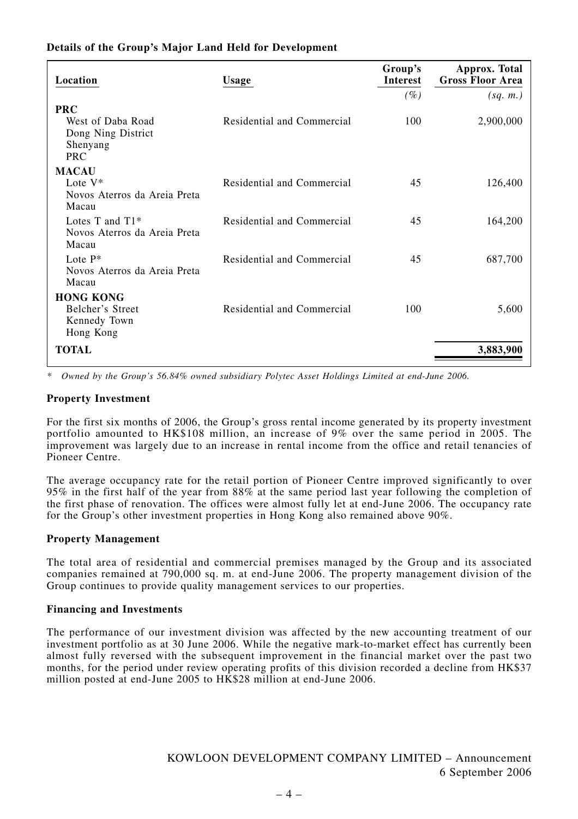# **Details of the Group's Major Land Held for Development**

| Location                                                                        | Usage                      | Group's<br><b>Interest</b> | Approx. Total<br><b>Gross Floor Area</b> |
|---------------------------------------------------------------------------------|----------------------------|----------------------------|------------------------------------------|
|                                                                                 |                            | $(\%)$                     | (sq. m.)                                 |
| <b>PRC</b><br>West of Daba Road<br>Dong Ning District<br>Shenyang<br><b>PRC</b> | Residential and Commercial | 100                        | 2,900,000                                |
| <b>MACAU</b><br>Lote V*<br>Novos Aterros da Areia Preta<br>Macau                | Residential and Commercial | 45                         | 126,400                                  |
| Lotes T and $T1*$<br>Novos Aterros da Areia Preta<br>Macau                      | Residential and Commercial | 45                         | 164,200                                  |
| Lote $P^*$<br>Novos Aterros da Areia Preta<br>Macau                             | Residential and Commercial | 45                         | 687,700                                  |
| <b>HONG KONG</b>                                                                |                            |                            |                                          |
| Belcher's Street<br>Kennedy Town<br>Hong Kong                                   | Residential and Commercial | 100                        | 5,600                                    |
| <b>TOTAL</b>                                                                    |                            |                            | 3,883,900                                |

*\* Owned by the Group's 56.84% owned subsidiary Polytec Asset Holdings Limited at end-June 2006.*

## **Property Investment**

For the first six months of 2006, the Group's gross rental income generated by its property investment portfolio amounted to HK\$108 million, an increase of 9% over the same period in 2005. The improvement was largely due to an increase in rental income from the office and retail tenancies of Pioneer Centre.

The average occupancy rate for the retail portion of Pioneer Centre improved significantly to over 95% in the first half of the year from 88% at the same period last year following the completion of the first phase of renovation. The offices were almost fully let at end-June 2006. The occupancy rate for the Group's other investment properties in Hong Kong also remained above 90%.

## **Property Management**

The total area of residential and commercial premises managed by the Group and its associated companies remained at 790,000 sq. m. at end-June 2006. The property management division of the Group continues to provide quality management services to our properties.

## **Financing and Investments**

The performance of our investment division was affected by the new accounting treatment of our investment portfolio as at 30 June 2006. While the negative mark-to-market effect has currently been almost fully reversed with the subsequent improvement in the financial market over the past two months, for the period under review operating profits of this division recorded a decline from HK\$37 million posted at end-June 2005 to HK\$28 million at end-June 2006.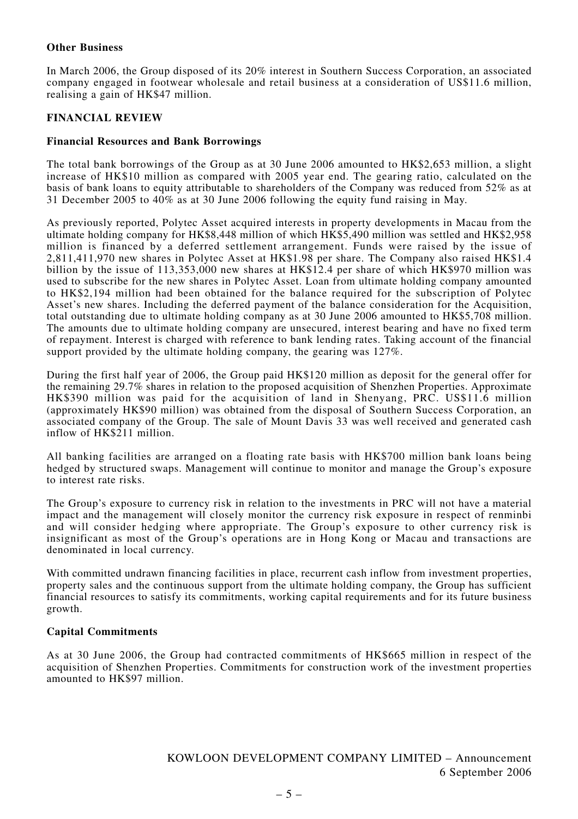## **Other Business**

In March 2006, the Group disposed of its 20% interest in Southern Success Corporation, an associated company engaged in footwear wholesale and retail business at a consideration of US\$11.6 million, realising a gain of HK\$47 million.

# **FINANCIAL REVIEW**

## **Financial Resources and Bank Borrowings**

The total bank borrowings of the Group as at 30 June 2006 amounted to HK\$2,653 million, a slight increase of HK\$10 million as compared with 2005 year end. The gearing ratio, calculated on the basis of bank loans to equity attributable to shareholders of the Company was reduced from 52% as at 31 December 2005 to 40% as at 30 June 2006 following the equity fund raising in May.

As previously reported, Polytec Asset acquired interests in property developments in Macau from the ultimate holding company for HK\$8,448 million of which HK\$5,490 million was settled and HK\$2,958 million is financed by a deferred settlement arrangement. Funds were raised by the issue of 2,811,411,970 new shares in Polytec Asset at HK\$1.98 per share. The Company also raised HK\$1.4 billion by the issue of 113,353,000 new shares at HK\$12.4 per share of which HK\$970 million was used to subscribe for the new shares in Polytec Asset. Loan from ultimate holding company amounted to HK\$2,194 million had been obtained for the balance required for the subscription of Polytec Asset's new shares. Including the deferred payment of the balance consideration for the Acquisition, total outstanding due to ultimate holding company as at 30 June 2006 amounted to HK\$5,708 million. The amounts due to ultimate holding company are unsecured, interest bearing and have no fixed term of repayment. Interest is charged with reference to bank lending rates. Taking account of the financial support provided by the ultimate holding company, the gearing was 127%.

During the first half year of 2006, the Group paid HK\$120 million as deposit for the general offer for the remaining 29.7% shares in relation to the proposed acquisition of Shenzhen Properties. Approximate HK\$390 million was paid for the acquisition of land in Shenyang, PRC. US\$11.6 million (approximately HK\$90 million) was obtained from the disposal of Southern Success Corporation, an associated company of the Group. The sale of Mount Davis 33 was well received and generated cash inflow of HK\$211 million.

All banking facilities are arranged on a floating rate basis with HK\$700 million bank loans being hedged by structured swaps. Management will continue to monitor and manage the Group's exposure to interest rate risks.

The Group's exposure to currency risk in relation to the investments in PRC will not have a material impact and the management will closely monitor the currency risk exposure in respect of renminbi and will consider hedging where appropriate. The Group's exposure to other currency risk is insignificant as most of the Group's operations are in Hong Kong or Macau and transactions are denominated in local currency.

With committed undrawn financing facilities in place, recurrent cash inflow from investment properties, property sales and the continuous support from the ultimate holding company, the Group has sufficient financial resources to satisfy its commitments, working capital requirements and for its future business growth.

# **Capital Commitments**

As at 30 June 2006, the Group had contracted commitments of HK\$665 million in respect of the acquisition of Shenzhen Properties. Commitments for construction work of the investment properties amounted to HK\$97 million.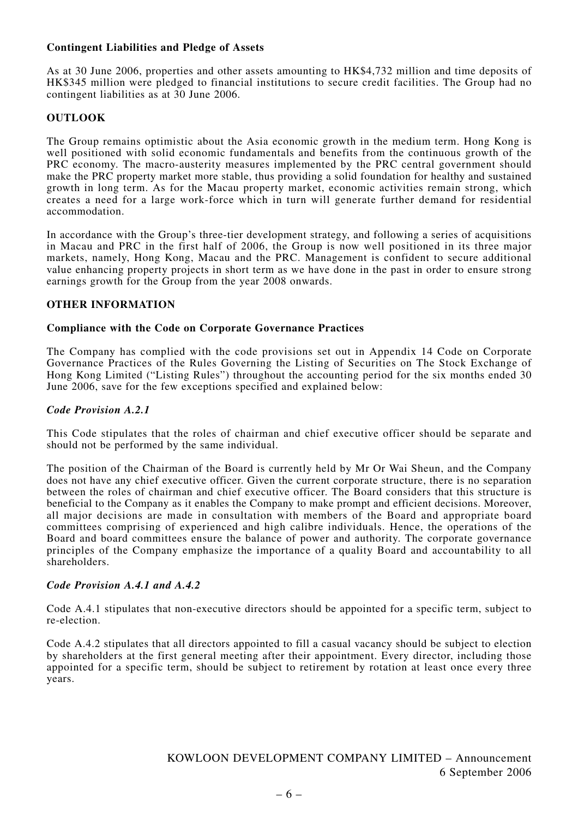# **Contingent Liabilities and Pledge of Assets**

As at 30 June 2006, properties and other assets amounting to HK\$4,732 million and time deposits of HK\$345 million were pledged to financial institutions to secure credit facilities. The Group had no contingent liabilities as at 30 June 2006.

# **OUTLOOK**

The Group remains optimistic about the Asia economic growth in the medium term. Hong Kong is well positioned with solid economic fundamentals and benefits from the continuous growth of the PRC economy. The macro-austerity measures implemented by the PRC central government should make the PRC property market more stable, thus providing a solid foundation for healthy and sustained growth in long term. As for the Macau property market, economic activities remain strong, which creates a need for a large work-force which in turn will generate further demand for residential accommodation.

In accordance with the Group's three-tier development strategy, and following a series of acquisitions in Macau and PRC in the first half of 2006, the Group is now well positioned in its three major markets, namely, Hong Kong, Macau and the PRC. Management is confident to secure additional value enhancing property projects in short term as we have done in the past in order to ensure strong earnings growth for the Group from the year 2008 onwards.

## **OTHER INFORMATION**

## **Compliance with the Code on Corporate Governance Practices**

The Company has complied with the code provisions set out in Appendix 14 Code on Corporate Governance Practices of the Rules Governing the Listing of Securities on The Stock Exchange of Hong Kong Limited ("Listing Rules") throughout the accounting period for the six months ended 30 June 2006, save for the few exceptions specified and explained below:

## *Code Provision A.2.1*

This Code stipulates that the roles of chairman and chief executive officer should be separate and should not be performed by the same individual.

The position of the Chairman of the Board is currently held by Mr Or Wai Sheun, and the Company does not have any chief executive officer. Given the current corporate structure, there is no separation between the roles of chairman and chief executive officer. The Board considers that this structure is beneficial to the Company as it enables the Company to make prompt and efficient decisions. Moreover, all major decisions are made in consultation with members of the Board and appropriate board committees comprising of experienced and high calibre individuals. Hence, the operations of the Board and board committees ensure the balance of power and authority. The corporate governance principles of the Company emphasize the importance of a quality Board and accountability to all shareholders.

## *Code Provision A.4.1 and A.4.2*

Code A.4.1 stipulates that non-executive directors should be appointed for a specific term, subject to re-election.

Code A.4.2 stipulates that all directors appointed to fill a casual vacancy should be subject to election by shareholders at the first general meeting after their appointment. Every director, including those appointed for a specific term, should be subject to retirement by rotation at least once every three years.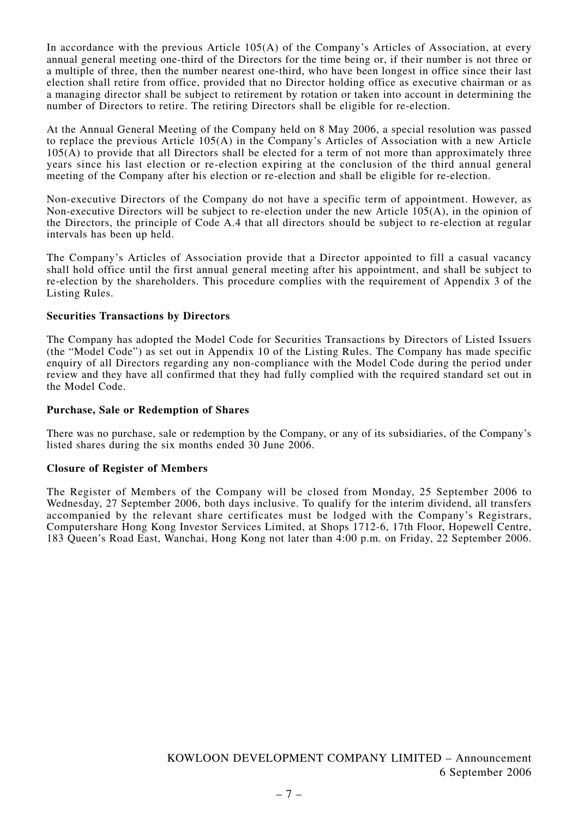In accordance with the previous Article 105(A) of the Company's Articles of Association, at every annual general meeting one-third of the Directors for the time being or, if their number is not three or a multiple of three, then the number nearest one-third, who have been longest in office since their last election shall retire from office, provided that no Director holding office as executive chairman or as a managing director shall be subject to retirement by rotation or taken into account in determining the number of Directors to retire. The retiring Directors shall be eligible for re-election.

At the Annual General Meeting of the Company held on 8 May 2006, a special resolution was passed to replace the previous Article 105(A) in the Company's Articles of Association with a new Article  $105(A)$  to provide that all Directors shall be elected for a term of not more than approximately three years since his last election or re-election expiring at the conclusion of the third annual general meeting of the Company after his election or re-election and shall be eligible for re-election.

Non-executive Directors of the Company do not have a specific term of appointment. However, as Non-executive Directors will be subject to re-election under the new Article 105(A), in the opinion of the Directors, the principle of Code A.4 that all directors should be subject to re-election at regular intervals has been up held.

The Company's Articles of Association provide that a Director appointed to fill a casual vacancy shall hold office until the first annual general meeting after his appointment, and shall be subject to re-election by the shareholders. This procedure complies with the requirement of Appendix 3 of the Listing Rules.

## **Securities Transactions by Directors**

The Company has adopted the Model Code for Securities Transactions by Directors of Listed Issuers (the "Model Code") as set out in Appendix 10 of the Listing Rules. The Company has made specific enquiry of all Directors regarding any non-compliance with the Model Code during the period under review and they have all confirmed that they had fully complied with the required standard set out in the Model Code.

## **Purchase, Sale or Redemption of Shares**

There was no purchase, sale or redemption by the Company, or any of its subsidiaries, of the Company's listed shares during the six months ended 30 June 2006.

## **Closure of Register of Members**

The Register of Members of the Company will be closed from Monday, 25 September 2006 to Wednesday, 27 September 2006, both days inclusive. To qualify for the interim dividend, all transfers accompanied by the relevant share certificates must be lodged with the Company's Registrars, Computershare Hong Kong Investor Services Limited, at Shops 1712-6, 17th Floor, Hopewell Centre, 183 Queen's Road East, Wanchai, Hong Kong not later than 4:00 p.m. on Friday, 22 September 2006.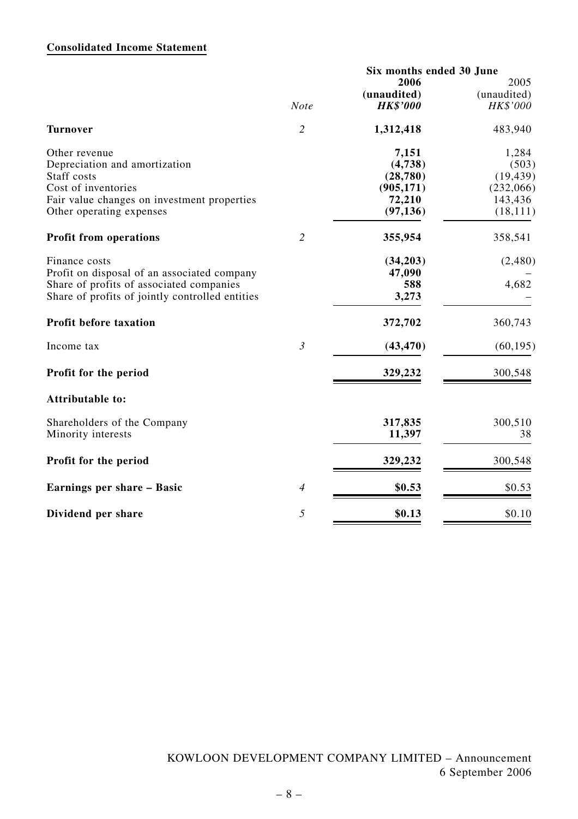# **Consolidated Income Statement**

|                                                 |                | Six months ended 30 June |             |  |
|-------------------------------------------------|----------------|--------------------------|-------------|--|
|                                                 |                | 2006                     | 2005        |  |
|                                                 |                | (unaudited)              | (unaudited) |  |
|                                                 | <b>Note</b>    | <b>HK\$'000</b>          | HK\$'000    |  |
| <b>Turnover</b>                                 | $\overline{2}$ | 1,312,418                | 483,940     |  |
| Other revenue                                   |                | 7,151                    | 1,284       |  |
| Depreciation and amortization                   |                | (4,738)                  | (503)       |  |
| Staff costs                                     |                | (28, 780)                | (19, 439)   |  |
| Cost of inventories                             |                | (905, 171)               | (232,066)   |  |
| Fair value changes on investment properties     |                | 72,210                   | 143,436     |  |
| Other operating expenses                        |                | (97, 136)                | (18, 111)   |  |
| <b>Profit from operations</b>                   | $\overline{2}$ | 355,954                  | 358,541     |  |
| Finance costs                                   |                | (34,203)                 | (2,480)     |  |
| Profit on disposal of an associated company     |                | 47,090                   |             |  |
| Share of profits of associated companies        |                | 588                      | 4,682       |  |
| Share of profits of jointly controlled entities |                | 3,273                    |             |  |
| <b>Profit before taxation</b>                   |                | 372,702                  | 360,743     |  |
| Income tax                                      | $\mathfrak{Z}$ | (43, 470)                | (60, 195)   |  |
| Profit for the period                           |                | 329,232                  | 300,548     |  |
| Attributable to:                                |                |                          |             |  |
| Shareholders of the Company                     |                | 317,835                  | 300,510     |  |
| Minority interests                              |                | 11,397                   | 38          |  |
| Profit for the period                           |                | 329,232                  | 300,548     |  |
| Earnings per share - Basic                      | $\overline{4}$ | \$0.53                   | \$0.53      |  |
| Dividend per share                              | 5              | \$0.13                   | \$0.10      |  |
|                                                 |                |                          |             |  |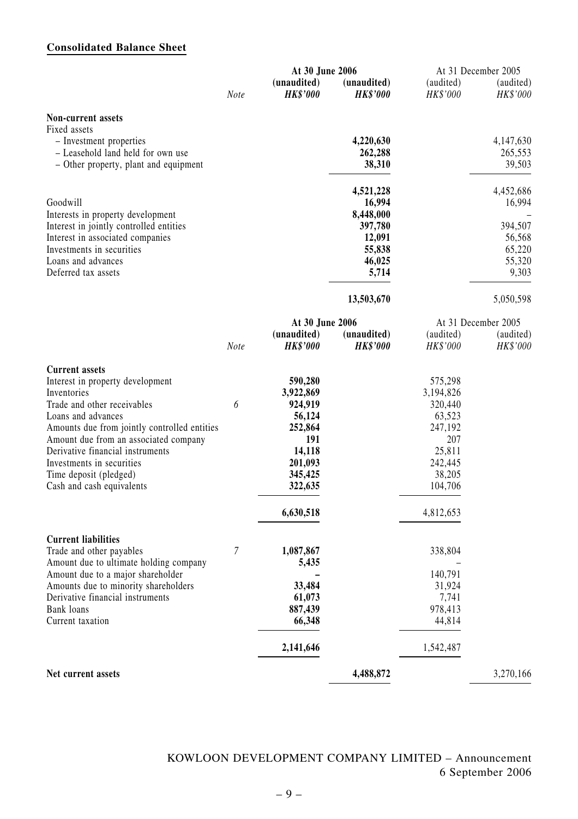# **Consolidated Balance Sheet**

|                                              |      | At 30 June 2006                |                                |                       | At 31 December 2005   |
|----------------------------------------------|------|--------------------------------|--------------------------------|-----------------------|-----------------------|
|                                              | Note | (unaudited)<br><b>HK\$'000</b> | (unaudited)<br><b>HK\$'000</b> | (audited)<br>HK\$'000 | (audited)<br>HK\$'000 |
| Non-current assets                           |      |                                |                                |                       |                       |
| Fixed assets                                 |      |                                |                                |                       |                       |
| - Investment properties                      |      |                                | 4,220,630                      |                       | 4,147,630             |
| - Leasehold land held for own use            |      |                                | 262,288                        |                       | 265,553               |
| - Other property, plant and equipment        |      |                                | 38,310                         |                       | 39,503                |
|                                              |      |                                | 4,521,228                      |                       | 4,452,686             |
| Goodwill                                     |      |                                | 16,994                         |                       | 16,994                |
| Interests in property development            |      |                                | 8,448,000                      |                       |                       |
| Interest in jointly controlled entities      |      |                                | 397,780                        |                       | 394,507               |
| Interest in associated companies             |      |                                | 12,091                         |                       | 56,568                |
| Investments in securities                    |      |                                | 55,838                         |                       | 65,220                |
| Loans and advances<br>Deferred tax assets    |      |                                | 46,025<br>5,714                |                       | 55,320<br>9,303       |
|                                              |      |                                |                                |                       |                       |
|                                              |      |                                | 13,503,670                     |                       | 5,050,598             |
|                                              |      | At 30 June 2006                |                                |                       | At 31 December 2005   |
|                                              |      | (unaudited)                    | (unaudited)                    | (audited)             | (audited)             |
|                                              | Note | <b>HK\$'000</b>                | <b>HK\$'000</b>                | HK\$'000              | HK\$'000              |
| <b>Current assets</b>                        |      |                                |                                |                       |                       |
| Interest in property development             |      | 590,280                        |                                | 575,298               |                       |
| Inventories                                  |      | 3,922,869                      |                                | 3,194,826             |                       |
| Trade and other receivables                  | 6    | 924,919                        |                                | 320,440               |                       |
| Loans and advances                           |      | 56,124                         |                                | 63,523                |                       |
| Amounts due from jointly controlled entities |      | 252,864                        |                                | 247,192               |                       |
| Amount due from an associated company        |      | 191                            |                                | 207                   |                       |
| Derivative financial instruments             |      | 14,118                         |                                | 25,811                |                       |
| Investments in securities                    |      | 201,093                        |                                | 242,445               |                       |
| Time deposit (pledged)                       |      | 345,425                        |                                | 38,205                |                       |
| Cash and cash equivalents                    |      | 322,635                        |                                | 104,706               |                       |
|                                              |      | 6,630,518                      |                                | 4,812,653             |                       |
| <b>Current liabilities</b>                   |      |                                |                                |                       |                       |
| Trade and other payables                     | 7    | 1,087,867                      |                                | 338,804               |                       |
| Amount due to ultimate holding company       |      | 5,435                          |                                |                       |                       |
| Amount due to a major shareholder            |      |                                |                                | 140,791               |                       |
| Amounts due to minority shareholders         |      | 33,484                         |                                | 31,924                |                       |
| Derivative financial instruments             |      | 61,073                         |                                | 7,741                 |                       |
| Bank loans                                   |      | 887,439                        |                                | 978,413               |                       |
| Current taxation                             |      | 66,348                         |                                | 44,814                |                       |
|                                              |      | 2,141,646                      |                                | 1,542,487             |                       |
| Net current assets                           |      |                                | 4,488,872                      |                       | 3,270,166             |

KOWLOON DEVELOPMENT COMPANY LIMITED – Announcement 6 September 2006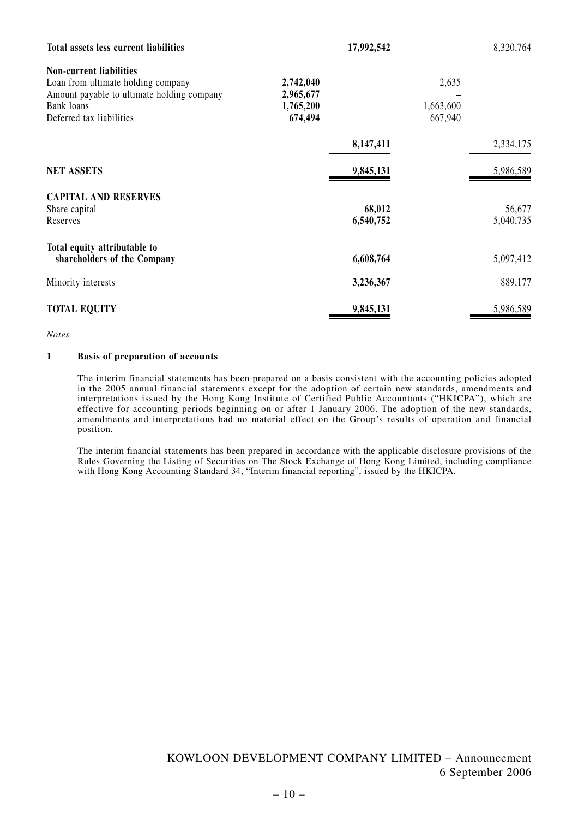| Total assets less current liabilities                                                                                                                        |                                                | 17,992,542          |                               | 8,320,764           |
|--------------------------------------------------------------------------------------------------------------------------------------------------------------|------------------------------------------------|---------------------|-------------------------------|---------------------|
| <b>Non-current liabilities</b><br>Loan from ultimate holding company<br>Amount payable to ultimate holding company<br>Bank loans<br>Deferred tax liabilities | 2,742,040<br>2,965,677<br>1,765,200<br>674,494 |                     | 2,635<br>1,663,600<br>667,940 |                     |
|                                                                                                                                                              |                                                | 8,147,411           |                               | 2,334,175           |
| <b>NET ASSETS</b>                                                                                                                                            |                                                | 9,845,131           |                               | 5,986,589           |
| <b>CAPITAL AND RESERVES</b><br>Share capital<br>Reserves                                                                                                     |                                                | 68,012<br>6,540,752 |                               | 56,677<br>5,040,735 |
| Total equity attributable to<br>shareholders of the Company                                                                                                  |                                                | 6,608,764           |                               | 5,097,412           |
| Minority interests                                                                                                                                           |                                                | 3,236,367           |                               | 889,177             |
| <b>TOTAL EQUITY</b>                                                                                                                                          |                                                | 9,845,131           |                               | 5,986,589           |

*Notes*

#### **1 Basis of preparation of accounts**

The interim financial statements has been prepared on a basis consistent with the accounting policies adopted in the 2005 annual financial statements except for the adoption of certain new standards, amendments and interpretations issued by the Hong Kong Institute of Certified Public Accountants ("HKICPA"), which are effective for accounting periods beginning on or after 1 January 2006. The adoption of the new standards, amendments and interpretations had no material effect on the Group's results of operation and financial position.

The interim financial statements has been prepared in accordance with the applicable disclosure provisions of the Rules Governing the Listing of Securities on The Stock Exchange of Hong Kong Limited, including compliance with Hong Kong Accounting Standard 34, "Interim financial reporting", issued by the HKICPA.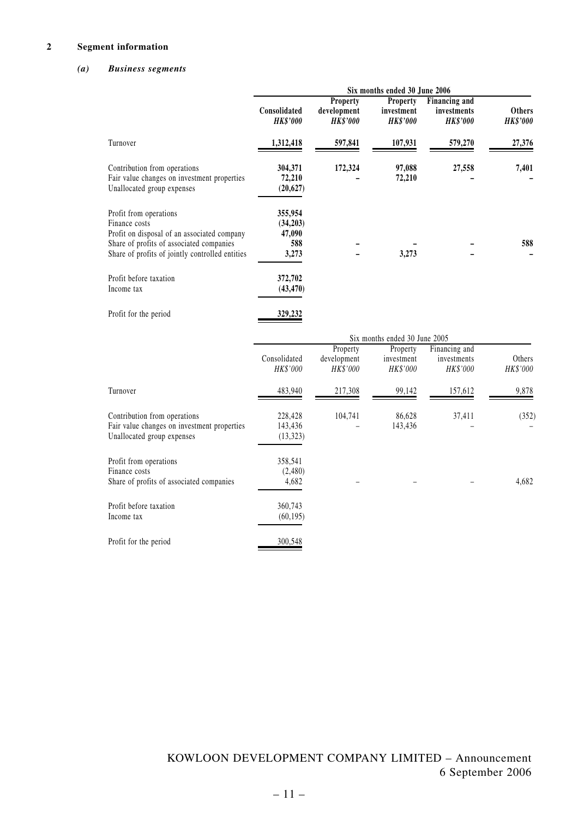#### **2 Segment information**

## *(a) Business segments*

|                                                                                                                                                                                       | Six months ended 30 June 2006                 |                                            |                                                  |                                                 |                                  |
|---------------------------------------------------------------------------------------------------------------------------------------------------------------------------------------|-----------------------------------------------|--------------------------------------------|--------------------------------------------------|-------------------------------------------------|----------------------------------|
|                                                                                                                                                                                       | Consolidated<br><b>HK\$'000</b>               | Property<br>development<br><b>HK\$'000</b> | <b>Property</b><br>investment<br><b>HK\$'000</b> | Financing and<br>investments<br><b>HK\$'000</b> | <b>Others</b><br><b>HK\$'000</b> |
| Turnover                                                                                                                                                                              | 1,312,418                                     | 597,841                                    | 107,931                                          | 579,270                                         | 27,376                           |
| Contribution from operations<br>Fair value changes on investment properties<br>Unallocated group expenses                                                                             | 304,371<br>72,210<br>(20, 627)                | 172,324                                    | 97,088<br>72,210                                 | 27,558                                          | 7,401                            |
| Profit from operations<br>Finance costs<br>Profit on disposal of an associated company<br>Share of profits of associated companies<br>Share of profits of jointly controlled entities | 355,954<br>(34,203)<br>47,090<br>588<br>3,273 |                                            | 3,273                                            |                                                 | 588                              |
| Profit before taxation<br>Income tax                                                                                                                                                  | 372,702<br>(43, 470)                          |                                            |                                                  |                                                 |                                  |
| Profit for the period                                                                                                                                                                 | 329,232                                       |                                            |                                                  |                                                 |                                  |
|                                                                                                                                                                                       |                                               |                                            | Six months ended 30 June 2005                    |                                                 |                                  |
|                                                                                                                                                                                       | Consolidated<br>HK\$'000                      | Property<br>development<br><b>HK\$'000</b> | Property<br>investment<br>HK\$'000               | Financing and<br>investments<br>HK\$'000        | Others<br>HK\$'000               |

| Turnover                                                                                                  | 483,940                         | 217,308 | 99,142            | 157,612 | 9,878 |
|-----------------------------------------------------------------------------------------------------------|---------------------------------|---------|-------------------|---------|-------|
| Contribution from operations<br>Fair value changes on investment properties<br>Unallocated group expenses | 228,428<br>143,436<br>(13, 323) | 104,741 | 86,628<br>143,436 | 37,411  | (352) |
| Profit from operations<br>Finance costs<br>Share of profits of associated companies                       | 358,541<br>(2,480)<br>4,682     |         |                   |         | 4,682 |
| Profit before taxation<br>Income tax                                                                      | 360,743<br>(60, 195)            |         |                   |         |       |
| Profit for the period                                                                                     | 300,548                         |         |                   |         |       |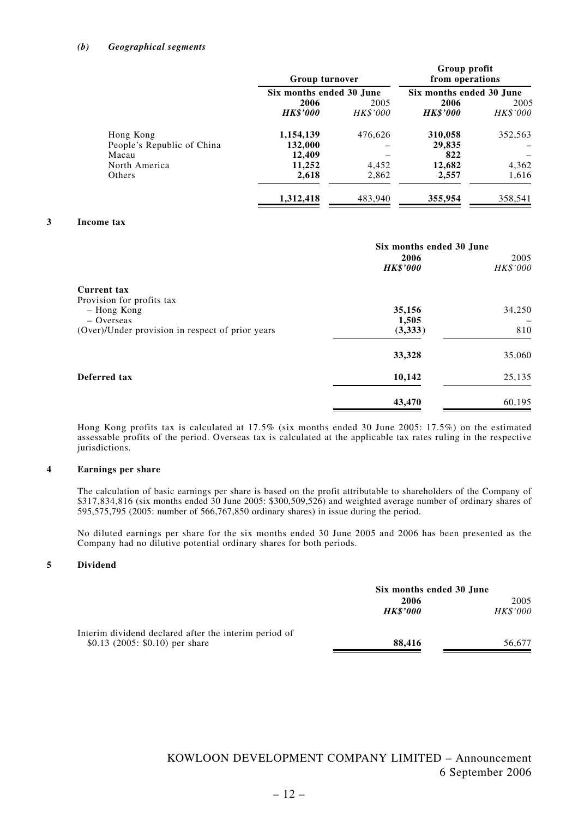#### *(b) Geographical segments*

| <b>Group turnover</b> |                 | Group profit<br>from operations |                 |
|-----------------------|-----------------|---------------------------------|-----------------|
|                       |                 | Six months ended 30 June        |                 |
| 2006                  | 2005            | 2006                            | 2005            |
| <b>HK\$'000</b>       | <i>HK\$'000</i> | <b>HK\$'000</b>                 | <i>HK\$'000</i> |
| 1,154,139             | 476,626         | 310,058                         | 352,563         |
| 132,000               |                 | 29,835                          |                 |
| 12,409                |                 | 822                             |                 |
| 11,252                | 4,452           | 12,682                          | 4,362           |
| 2,618                 | 2,862           | 2,557                           | 1,616           |
| 1,312,418             | 483,940         | 355,954                         | 358,541         |
|                       |                 | Six months ended 30 June        |                 |

#### **3 Income tax**

|                                                  | Six months ended 30 June<br>2006<br><b>HK\$'000</b> | 2005<br>HK\$'000 |
|--------------------------------------------------|-----------------------------------------------------|------------------|
| <b>Current tax</b>                               |                                                     |                  |
| Provision for profits tax<br>- Hong Kong         | 35,156                                              | 34,250           |
| $-$ Overseas                                     | 1,505                                               |                  |
| (Over)/Under provision in respect of prior years | (3,333)                                             | 810              |
|                                                  | 33,328                                              | 35,060           |
| Deferred tax                                     | 10,142                                              | 25,135           |
|                                                  | 43,470                                              | 60,195           |

Hong Kong profits tax is calculated at 17.5% (six months ended 30 June 2005: 17.5%) on the estimated assessable profits of the period. Overseas tax is calculated at the applicable tax rates ruling in the respective jurisdictions.

#### **4 Earnings per share**

The calculation of basic earnings per share is based on the profit attributable to shareholders of the Company of \$317,834,816 (six months ended 30 June 2005: \$300,509,526) and weighted average number of ordinary shares of 595,575,795 (2005: number of 566,767,850 ordinary shares) in issue during the period.

No diluted earnings per share for the six months ended 30 June 2005 and 2006 has been presented as the Company had no dilutive potential ordinary shares for both periods.

#### **5 Dividend**

|                                                       | Six months ended 30 June |                 |
|-------------------------------------------------------|--------------------------|-----------------|
|                                                       | 2006                     | 2005            |
|                                                       | <b>HK\$'000</b>          | <i>HK\$'000</i> |
| Interim dividend declared after the interim period of |                          |                 |
| \$0.13 (2005: \$0.10) per share                       | 88.416                   | 56.677          |
|                                                       |                          |                 |